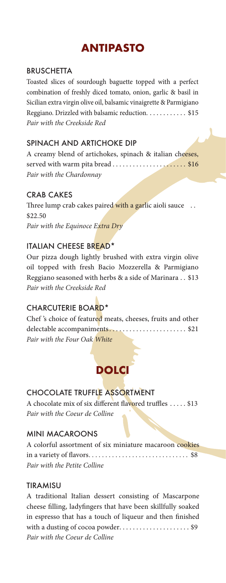# **ANTIPASTO**

### **BRUSCHETTA**

Toasted slices of sourdough baguette topped with a perfect combination of freshly diced tomato, onion, garlic & basil in Sicilian extra virgin olive oil, balsamic vinaigrette & Parmigiano Reggiano. Drizzled with balsamic reduction. . . . . . . . . . . \$15 *Pair with the Creekside Red*

## SPINACH AND ARTICHOKE DIP

A creamy blend of artichokes, spinach & italian cheeses, served with warm pita bread . . . . . . . . . . . . . . . . . . \$16 *Pair with the Chardonnay* 

## CRAB CAKES

Three lump crab cakes paired with a garlic aioli sauce ... \$22.50 *Pair with the Equinoce Extra Dry*

#### ITALIAN CHEESE BREAD\*

Our pizza dough lightly brushed with extra virgin olive oil topped with fresh Bacio Mozzerella & Parmigiano Reggiano seasoned with herbs & a side of Marinara . . \$13 *Pair with the Creekside Red*

## CHARCUTERIE BOARD\*

| Chef's choice of featured meats, cheeses, fruits and other |  |  |  |
|------------------------------------------------------------|--|--|--|
|                                                            |  |  |  |
| Pair with the Four Oak White                               |  |  |  |

## **DOLCI**

## CHOCOLATE TRUFFLE ASSORTMENT

A chocolate mix of six different flavored truffles ..... \$13 *Pair with the Coeur de Colline*

#### MINI MACAROONS

| A colorful assortment of six miniature macaroon cookies |  |
|---------------------------------------------------------|--|
|                                                         |  |
| Pair with the Petite Colline                            |  |

#### TIRAMISU

| A traditional Italian dessert consisting of Mascarpone       |
|--------------------------------------------------------------|
| cheese filling, ladyfingers that have been skillfully soaked |
| in espresso that has a touch of liqueur and then finished    |
| with a dusting of cocoa powder\$9                            |
| Pair with the Coeur de Colline                               |